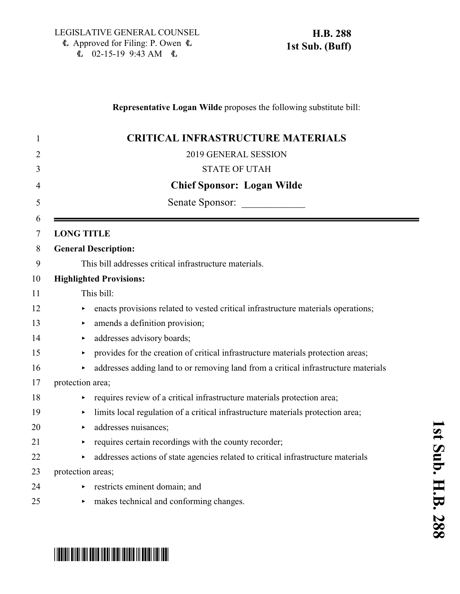### **Representative Logan Wilde** proposes the following substitute bill:

| 1              | <b>CRITICAL INFRASTRUCTURE MATERIALS</b>                                                                  |
|----------------|-----------------------------------------------------------------------------------------------------------|
| $\overline{2}$ | 2019 GENERAL SESSION                                                                                      |
| 3              | <b>STATE OF UTAH</b>                                                                                      |
| 4              | <b>Chief Sponsor: Logan Wilde</b>                                                                         |
| 5              | Senate Sponsor:                                                                                           |
| 6<br>$\tau$    | <b>LONG TITLE</b>                                                                                         |
| 8              | <b>General Description:</b>                                                                               |
| 9              | This bill addresses critical infrastructure materials.                                                    |
| 10             | <b>Highlighted Provisions:</b>                                                                            |
| 11             | This bill:                                                                                                |
| 12             | enacts provisions related to vested critical infrastructure materials operations;<br>Þ                    |
| 13             | amends a definition provision;<br>×                                                                       |
| 14             | addresses advisory boards;<br>Þ                                                                           |
| 15             | provides for the creation of critical infrastructure materials protection areas;<br>$\blacktriangleright$ |
| 16             | addresses adding land to or removing land from a critical infrastructure materials<br>Þ                   |
| 17             | protection area;                                                                                          |
| 18             | requires review of a critical infrastructure materials protection area;<br>▶                              |
| 19             | limits local regulation of a critical infrastructure materials protection area;<br>▶                      |
| 20             | addresses nuisances;<br>▶                                                                                 |
| 21             | requires certain recordings with the county recorder;<br>$\blacktriangleright$                            |
| 22             | addresses actions of state agencies related to critical infrastructure materials<br>▶                     |
| 23             | protection areas;                                                                                         |
| 24             | restricts eminent domain; and                                                                             |
| 25             | makes technical and conforming changes.<br>▶                                                              |

# \*HB0288S01\*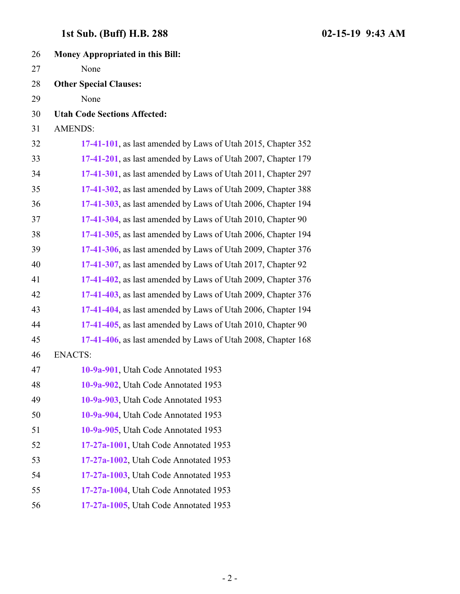| 26 | <b>Money Appropriated in this Bill:</b>                      |
|----|--------------------------------------------------------------|
| 27 | None                                                         |
| 28 | <b>Other Special Clauses:</b>                                |
| 29 | None                                                         |
| 30 | <b>Utah Code Sections Affected:</b>                          |
| 31 | <b>AMENDS:</b>                                               |
| 32 | 17-41-101, as last amended by Laws of Utah 2015, Chapter 352 |
| 33 | 17-41-201, as last amended by Laws of Utah 2007, Chapter 179 |
| 34 | 17-41-301, as last amended by Laws of Utah 2011, Chapter 297 |
| 35 | 17-41-302, as last amended by Laws of Utah 2009, Chapter 388 |
| 36 | 17-41-303, as last amended by Laws of Utah 2006, Chapter 194 |
| 37 | 17-41-304, as last amended by Laws of Utah 2010, Chapter 90  |
| 38 | 17-41-305, as last amended by Laws of Utah 2006, Chapter 194 |
| 39 | 17-41-306, as last amended by Laws of Utah 2009, Chapter 376 |
| 40 | 17-41-307, as last amended by Laws of Utah 2017, Chapter 92  |
| 41 | 17-41-402, as last amended by Laws of Utah 2009, Chapter 376 |
| 42 | 17-41-403, as last amended by Laws of Utah 2009, Chapter 376 |
| 43 | 17-41-404, as last amended by Laws of Utah 2006, Chapter 194 |
| 44 | 17-41-405, as last amended by Laws of Utah 2010, Chapter 90  |
| 45 | 17-41-406, as last amended by Laws of Utah 2008, Chapter 168 |
| 46 | <b>ENACTS:</b>                                               |
| 47 | 10-9a-901, Utah Code Annotated 1953                          |
| 48 | 10-9a-902, Utah Code Annotated 1953                          |
| 49 | 10-9a-903, Utah Code Annotated 1953                          |
| 50 | 10-9a-904, Utah Code Annotated 1953                          |
| 51 | 10-9a-905, Utah Code Annotated 1953                          |
| 52 | 17-27a-1001, Utah Code Annotated 1953                        |
| 53 | 17-27a-1002, Utah Code Annotated 1953                        |
| 54 | 17-27a-1003, Utah Code Annotated 1953                        |
| 55 | 17-27a-1004, Utah Code Annotated 1953                        |

**[17-27a-1005](#page-8-1)**, Utah Code Annotated 1953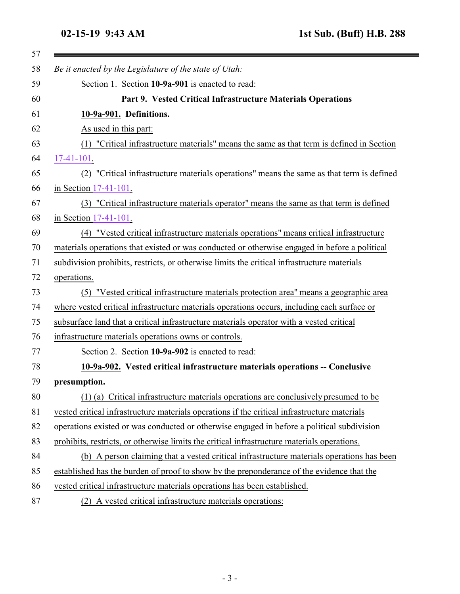=

<span id="page-2-1"></span><span id="page-2-0"></span>

| Be it enacted by the Legislature of the state of Utah:                                        |
|-----------------------------------------------------------------------------------------------|
| Section 1. Section 10-9a-901 is enacted to read:                                              |
| Part 9. Vested Critical Infrastructure Materials Operations                                   |
| 10-9a-901. Definitions.                                                                       |
| As used in this part:                                                                         |
| (1) "Critical infrastructure materials" means the same as that term is defined in Section     |
| $17-41-101$ .                                                                                 |
| "Critical infrastructure materials operations" means the same as that term is defined<br>(2)  |
| in Section 17-41-101.                                                                         |
| (3) "Critical infrastructure materials operator" means the same as that term is defined       |
| in Section 17-41-101.                                                                         |
| (4) "Vested critical infrastructure materials operations" means critical infrastructure       |
| materials operations that existed or was conducted or otherwise engaged in before a political |
| subdivision prohibits, restricts, or otherwise limits the critical infrastructure materials   |
| operations.                                                                                   |
| (5) "Vested critical infrastructure materials protection area" means a geographic area        |
| where vested critical infrastructure materials operations occurs, including each surface or   |
| subsurface land that a critical infrastructure materials operator with a vested critical      |
| infrastructure materials operations owns or controls.                                         |
| Section 2. Section 10-9a-902 is enacted to read:                                              |
| 10-9a-902. Vested critical infrastructure materials operations -- Conclusive                  |
| presumption.                                                                                  |
| (1) (a) Critical infrastructure materials operations are conclusively presumed to be          |
| vested critical infrastructure materials operations if the critical infrastructure materials  |
| operations existed or was conducted or otherwise engaged in before a political subdivision    |
| prohibits, restricts, or otherwise limits the critical infrastructure materials operations.   |
| (b) A person claiming that a vested critical infrastructure materials operations has been     |
| established has the burden of proof to show by the preponderance of the evidence that the     |
| vested critical infrastructure materials operations has been established.                     |
| (2) A vested critical infrastructure materials operations:                                    |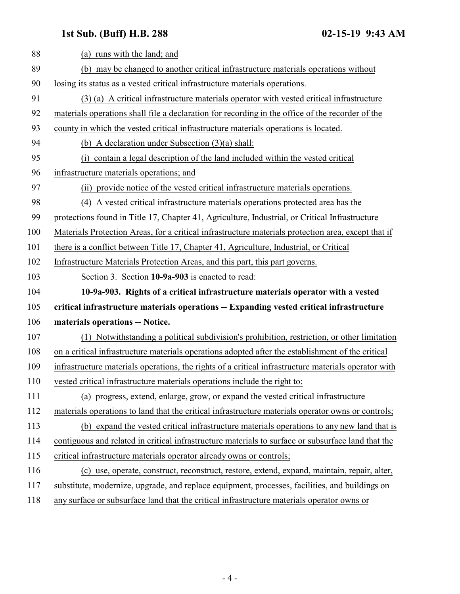<span id="page-3-0"></span>

| 88  | (a) runs with the land; and                                                                          |
|-----|------------------------------------------------------------------------------------------------------|
| 89  | (b) may be changed to another critical infrastructure materials operations without                   |
| 90  | losing its status as a vested critical infrastructure materials operations.                          |
| 91  | (3) (a) A critical infrastructure materials operator with vested critical infrastructure             |
| 92  | materials operations shall file a declaration for recording in the office of the recorder of the     |
| 93  |                                                                                                      |
|     | county in which the vested critical infrastructure materials operations is located.                  |
| 94  | (b) A declaration under Subsection $(3)(a)$ shall:                                                   |
| 95  | (i) contain a legal description of the land included within the vested critical                      |
| 96  | infrastructure materials operations; and                                                             |
| 97  | (ii) provide notice of the vested critical infrastructure materials operations.                      |
| 98  | (4) A vested critical infrastructure materials operations protected area has the                     |
| 99  | protections found in Title 17, Chapter 41, Agriculture, Industrial, or Critical Infrastructure       |
| 100 | Materials Protection Areas, for a critical infrastructure materials protection area, except that if  |
| 101 | there is a conflict between Title 17, Chapter 41, Agriculture, Industrial, or Critical               |
| 102 | Infrastructure Materials Protection Areas, and this part, this part governs.                         |
| 103 | Section 3. Section 10-9a-903 is enacted to read:                                                     |
| 104 | 10-9a-903. Rights of a critical infrastructure materials operator with a vested                      |
| 105 | critical infrastructure materials operations -- Expanding vested critical infrastructure             |
| 106 | materials operations -- Notice.                                                                      |
| 107 | (1) Notwithstanding a political subdivision's prohibition, restriction, or other limitation          |
| 108 | on a critical infrastructure materials operations adopted after the establishment of the critical    |
| 109 | infrastructure materials operations, the rights of a critical infrastructure materials operator with |
| 110 | vested critical infrastructure materials operations include the right to:                            |
| 111 | (a) progress, extend, enlarge, grow, or expand the vested critical infrastructure                    |
| 112 | materials operations to land that the critical infrastructure materials operator owns or controls;   |
| 113 | (b) expand the vested critical infrastructure materials operations to any new land that is           |
| 114 | contiguous and related in critical infrastructure materials to surface or subsurface land that the   |
| 115 | critical infrastructure materials operator already owns or controls;                                 |
| 116 | (c) use, operate, construct, reconstruct, restore, extend, expand, maintain, repair, alter,          |
| 117 | substitute, modernize, upgrade, and replace equipment, processes, facilities, and buildings on       |
| 118 | any surface or subsurface land that the critical infrastructure materials operator owns or           |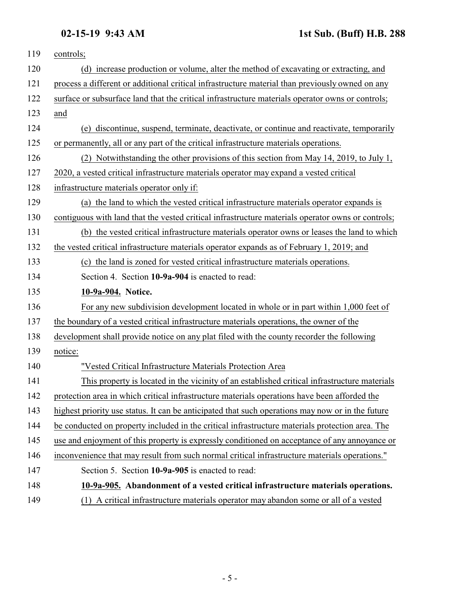<span id="page-4-1"></span><span id="page-4-0"></span>

| 119 | controls;                                                                                         |
|-----|---------------------------------------------------------------------------------------------------|
| 120 | increase production or volume, alter the method of excavating or extracting, and<br>(d)           |
| 121 | process a different or additional critical infrastructure material than previously owned on any   |
| 122 | surface or subsurface land that the critical infrastructure materials operator owns or controls;  |
| 123 | and                                                                                               |
| 124 | (e) discontinue, suspend, terminate, deactivate, or continue and reactivate, temporarily          |
| 125 | or permanently, all or any part of the critical infrastructure materials operations.              |
| 126 | (2) Notwithstanding the other provisions of this section from May 14, 2019, to July 1,            |
| 127 | 2020, a vested critical infrastructure materials operator may expand a vested critical            |
| 128 | infrastructure materials operator only if:                                                        |
| 129 | (a) the land to which the vested critical infrastructure materials operator expands is            |
| 130 | contiguous with land that the vested critical infrastructure materials operator owns or controls; |
| 131 | (b) the vested critical infrastructure materials operator owns or leases the land to which        |
| 132 | the vested critical infrastructure materials operator expands as of February 1, 2019; and         |
| 133 | (c) the land is zoned for vested critical infrastructure materials operations.                    |
| 134 | Section 4. Section 10-9a-904 is enacted to read:                                                  |
| 135 | 10-9a-904. Notice.                                                                                |
| 136 | For any new subdivision development located in whole or in part within 1,000 feet of              |
| 137 | the boundary of a vested critical infrastructure materials operations, the owner of the           |
| 138 | development shall provide notice on any plat filed with the county recorder the following         |
| 139 | notice:                                                                                           |
| 140 | "Vested Critical Infrastructure Materials Protection Area                                         |
| 141 | This property is located in the vicinity of an established critical infrastructure materials      |
| 142 | protection area in which critical infrastructure materials operations have been afforded the      |
| 143 | highest priority use status. It can be anticipated that such operations may now or in the future  |
| 144 | be conducted on property included in the critical infrastructure materials protection area. The   |
| 145 | use and enjoyment of this property is expressly conditioned on acceptance of any annoyance or     |
| 146 | inconvenience that may result from such normal critical infrastructure materials operations."     |
| 147 | Section 5. Section 10-9a-905 is enacted to read:                                                  |
| 148 | 10-9a-905. Abandonment of a vested critical infrastructure materials operations.                  |
| 149 | (1) A critical infrastructure materials operator may abandon some or all of a vested              |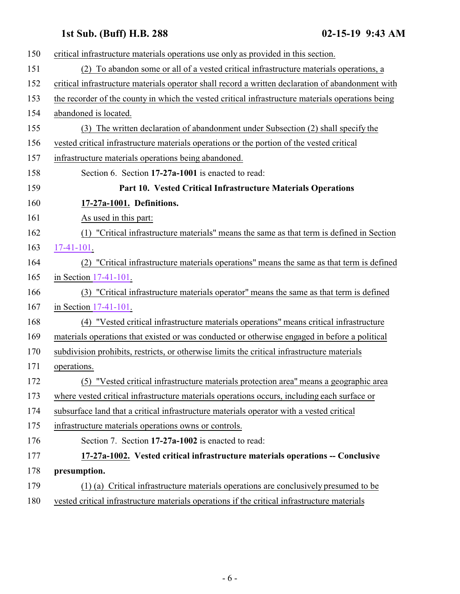<span id="page-5-1"></span><span id="page-5-0"></span>

| 150 | critical infrastructure materials operations use only as provided in this section.                |
|-----|---------------------------------------------------------------------------------------------------|
| 151 | (2) To abandon some or all of a vested critical infrastructure materials operations, a            |
| 152 | critical infrastructure materials operator shall record a written declaration of abandonment with |
| 153 | the recorder of the county in which the vested critical infrastructure materials operations being |
| 154 | abandoned is located.                                                                             |
| 155 | (3) The written declaration of abandonment under Subsection (2) shall specify the                 |
| 156 | vested critical infrastructure materials operations or the portion of the vested critical         |
| 157 | infrastructure materials operations being abandoned.                                              |
| 158 | Section 6. Section 17-27a-1001 is enacted to read:                                                |
| 159 | Part 10. Vested Critical Infrastructure Materials Operations                                      |
| 160 | 17-27a-1001. Definitions.                                                                         |
| 161 | As used in this part:                                                                             |
| 162 | (1) "Critical infrastructure materials" means the same as that term is defined in Section         |
| 163 | $17-41-101$ .                                                                                     |
| 164 | (2) "Critical infrastructure materials operations" means the same as that term is defined         |
| 165 | in Section 17-41-101.                                                                             |
| 166 | (3) "Critical infrastructure materials operator" means the same as that term is defined           |
| 167 | in Section 17-41-101.                                                                             |
| 168 | (4) "Vested critical infrastructure materials operations" means critical infrastructure           |
| 169 | materials operations that existed or was conducted or otherwise engaged in before a political     |
| 170 | subdivision prohibits, restricts, or otherwise limits the critical infrastructure materials       |
| 171 | operations.                                                                                       |
| 172 | (5) "Vested critical infrastructure materials protection area" means a geographic area            |
| 173 | where vested critical infrastructure materials operations occurs, including each surface or       |
| 174 | subsurface land that a critical infrastructure materials operator with a vested critical          |
| 175 | infrastructure materials operations owns or controls.                                             |
| 176 | Section 7. Section 17-27a-1002 is enacted to read:                                                |
| 177 | 17-27a-1002. Vested critical infrastructure materials operations -- Conclusive                    |
| 178 | presumption.                                                                                      |
| 179 | (1) (a) Critical infrastructure materials operations are conclusively presumed to be              |
| 180 | vested critical infrastructure materials operations if the critical infrastructure materials      |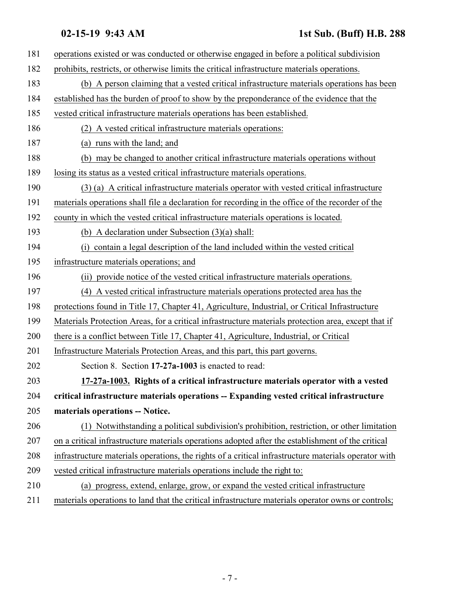<span id="page-6-0"></span>

| 181 | operations existed or was conducted or otherwise engaged in before a political subdivision           |
|-----|------------------------------------------------------------------------------------------------------|
|     |                                                                                                      |
| 182 | prohibits, restricts, or otherwise limits the critical infrastructure materials operations.          |
| 183 | (b) A person claiming that a vested critical infrastructure materials operations has been            |
| 184 | established has the burden of proof to show by the preponderance of the evidence that the            |
| 185 | vested critical infrastructure materials operations has been established.                            |
| 186 | (2) A vested critical infrastructure materials operations:                                           |
| 187 | (a) runs with the land; and                                                                          |
| 188 | (b) may be changed to another critical infrastructure materials operations without                   |
| 189 | losing its status as a vested critical infrastructure materials operations.                          |
| 190 | (3) (a) A critical infrastructure materials operator with vested critical infrastructure             |
| 191 | materials operations shall file a declaration for recording in the office of the recorder of the     |
| 192 | county in which the vested critical infrastructure materials operations is located.                  |
| 193 | (b) A declaration under Subsection $(3)(a)$ shall:                                                   |
| 194 | (i) contain a legal description of the land included within the vested critical                      |
| 195 | infrastructure materials operations; and                                                             |
| 196 | (ii) provide notice of the vested critical infrastructure materials operations.                      |
| 197 | (4) A vested critical infrastructure materials operations protected area has the                     |
| 198 | protections found in Title 17, Chapter 41, Agriculture, Industrial, or Critical Infrastructure       |
| 199 | Materials Protection Areas, for a critical infrastructure materials protection area, except that if  |
| 200 | there is a conflict between Title 17, Chapter 41, Agriculture, Industrial, or Critical               |
| 201 | Infrastructure Materials Protection Areas, and this part, this part governs.                         |
| 202 | Section 8. Section 17-27a-1003 is enacted to read:                                                   |
| 203 | 17-27a-1003. Rights of a critical infrastructure materials operator with a vested                    |
| 204 | critical infrastructure materials operations -- Expanding vested critical infrastructure             |
| 205 | materials operations -- Notice.                                                                      |
| 206 | (1) Notwithstanding a political subdivision's prohibition, restriction, or other limitation          |
| 207 | on a critical infrastructure materials operations adopted after the establishment of the critical    |
| 208 | infrastructure materials operations, the rights of a critical infrastructure materials operator with |
| 209 | vested critical infrastructure materials operations include the right to:                            |
| 210 | (a) progress, extend, enlarge, grow, or expand the vested critical infrastructure                    |
| 211 | materials operations to land that the critical infrastructure materials operator owns or controls;   |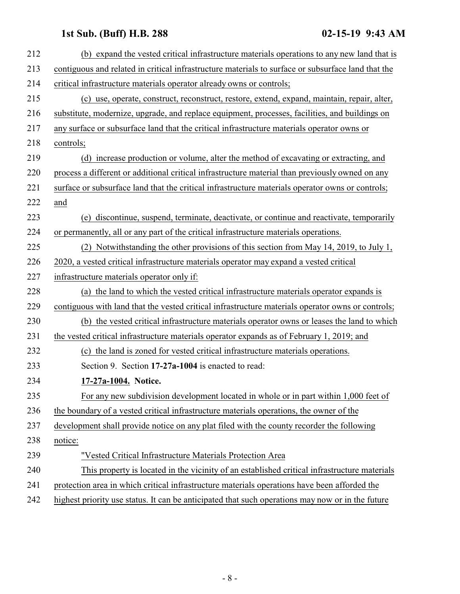<span id="page-7-0"></span>

| 212 | (b) expand the vested critical infrastructure materials operations to any new land that is         |
|-----|----------------------------------------------------------------------------------------------------|
| 213 | contiguous and related in critical infrastructure materials to surface or subsurface land that the |
| 214 | critical infrastructure materials operator already owns or controls;                               |
| 215 | (c) use, operate, construct, reconstruct, restore, extend, expand, maintain, repair, alter,        |
| 216 | substitute, modernize, upgrade, and replace equipment, processes, facilities, and buildings on     |
| 217 | any surface or subsurface land that the critical infrastructure materials operator owns or         |
| 218 | controls;                                                                                          |
| 219 | (d) increase production or volume, alter the method of excavating or extracting, and               |
| 220 | process a different or additional critical infrastructure material than previously owned on any    |
| 221 | surface or subsurface land that the critical infrastructure materials operator owns or controls;   |
| 222 | and                                                                                                |
| 223 | (e) discontinue, suspend, terminate, deactivate, or continue and reactivate, temporarily           |
| 224 | or permanently, all or any part of the critical infrastructure materials operations.               |
| 225 | (2) Notwithstanding the other provisions of this section from May 14, 2019, to July 1,             |
| 226 | 2020, a vested critical infrastructure materials operator may expand a vested critical             |
| 227 | infrastructure materials operator only if:                                                         |
| 228 | (a) the land to which the vested critical infrastructure materials operator expands is             |
| 229 | contiguous with land that the vested critical infrastructure materials operator owns or controls;  |
| 230 | (b) the vested critical infrastructure materials operator owns or leases the land to which         |
| 231 | the vested critical infrastructure materials operator expands as of February 1, 2019; and          |
| 232 | (c) the land is zoned for vested critical infrastructure materials operations.                     |
| 233 | Section 9. Section 17-27a-1004 is enacted to read:                                                 |
| 234 | 17-27a-1004. Notice.                                                                               |
| 235 | For any new subdivision development located in whole or in part within 1,000 feet of               |
| 236 | the boundary of a vested critical infrastructure materials operations, the owner of the            |
| 237 | development shall provide notice on any plat filed with the county recorder the following          |
| 238 | notice:                                                                                            |
| 239 | "Vested Critical Infrastructure Materials Protection Area                                          |
| 240 | This property is located in the vicinity of an established critical infrastructure materials       |
| 241 | protection area in which critical infrastructure materials operations have been afforded the       |
| 242 | highest priority use status. It can be anticipated that such operations may now or in the future   |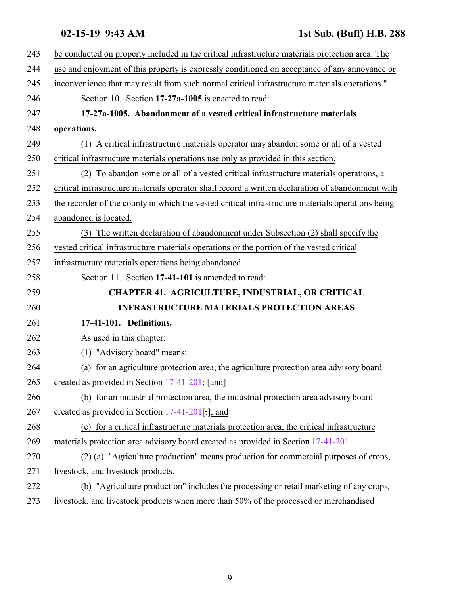<span id="page-8-1"></span><span id="page-8-0"></span>

| 243 | be conducted on property included in the critical infrastructure materials protection area. The   |
|-----|---------------------------------------------------------------------------------------------------|
| 244 | use and enjoyment of this property is expressly conditioned on acceptance of any annoyance or     |
| 245 | inconvenience that may result from such normal critical infrastructure materials operations."     |
| 246 | Section 10. Section 17-27a-1005 is enacted to read:                                               |
| 247 | 17-27a-1005. Abandonment of a vested critical infrastructure materials                            |
| 248 | operations.                                                                                       |
| 249 | (1) A critical infrastructure materials operator may abandon some or all of a vested              |
| 250 | critical infrastructure materials operations use only as provided in this section.                |
| 251 | To abandon some or all of a vested critical infrastructure materials operations, a<br>(2)         |
| 252 | critical infrastructure materials operator shall record a written declaration of abandonment with |
| 253 | the recorder of the county in which the vested critical infrastructure materials operations being |
| 254 | abandoned is located.                                                                             |
| 255 | (3) The written declaration of abandonment under Subsection (2) shall specify the                 |
| 256 | vested critical infrastructure materials operations or the portion of the vested critical         |
| 257 | infrastructure materials operations being abandoned.                                              |
| 258 | Section 11. Section 17-41-101 is amended to read:                                                 |
| 259 | <b>CHAPTER 41. AGRICULTURE, INDUSTRIAL, OR CRITICAL</b>                                           |
| 260 | <b>INFRASTRUCTURE MATERIALS PROTECTION AREAS</b>                                                  |
| 261 | 17-41-101. Definitions.                                                                           |
| 262 | As used in this chapter:                                                                          |
| 263 | (1) "Advisory board" means:                                                                       |
| 264 | (a) for an agriculture protection area, the agriculture protection area advisory board            |
| 265 | created as provided in Section 17-41-201; [and]                                                   |
| 266 | (b) for an industrial protection area, the industrial protection area advisory board              |
| 267 | created as provided in Section $17-41-201$ .]; and                                                |
| 268 | (c) for a critical infrastructure materials protection area, the critical infrastructure          |
| 269 | materials protection area advisory board created as provided in Section 17-41-201.                |
| 270 | (2) (a) "Agriculture production" means production for commercial purposes of crops,               |
| 271 | livestock, and livestock products.                                                                |
| 272 | (b) "Agriculture production" includes the processing or retail marketing of any crops,            |
| 273 | livestock, and livestock products when more than 50% of the processed or merchandised             |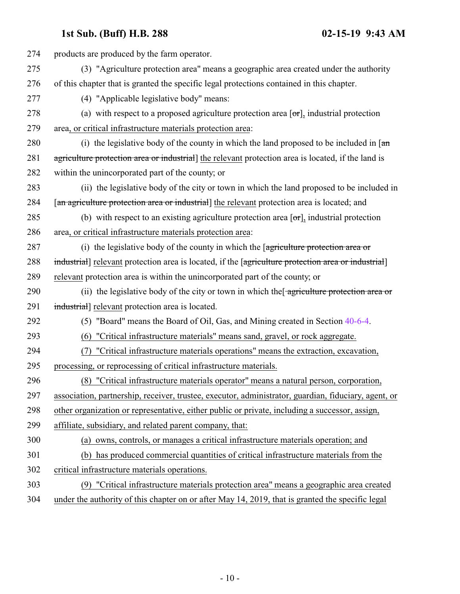| 274 | products are produced by the farm operator.                                                                         |
|-----|---------------------------------------------------------------------------------------------------------------------|
| 275 | (3) "Agriculture protection area" means a geographic area created under the authority                               |
| 276 | of this chapter that is granted the specific legal protections contained in this chapter.                           |
| 277 | (4) "Applicable legislative body" means:                                                                            |
| 278 | (a) with respect to a proposed agriculture protection area $[\sigma r]$ , industrial protection                     |
| 279 | area, or critical infrastructure materials protection area:                                                         |
| 280 | (i) the legislative body of the county in which the land proposed to be included in $\lceil \frac{a_n}{b_n} \rceil$ |
| 281 | agriculture protection area or industrial] the relevant protection area is located, if the land is                  |
| 282 | within the unincorporated part of the county; or                                                                    |
| 283 | (ii) the legislative body of the city or town in which the land proposed to be included in                          |
| 284 | [an agriculture protection area or industrial] the relevant protection area is located; and                         |
| 285 | (b) with respect to an existing agriculture protection area $[\sigma r]$ , industrial protection                    |
| 286 | area, or critical infrastructure materials protection area:                                                         |
| 287 | (i) the legislative body of the county in which the $\sqrt{q}$ agriculture protection area or                       |
| 288 | industrial] relevant protection area is located, if the [agriculture protection area or industrial]                 |
| 289 | relevant protection area is within the unincorporated part of the county; or                                        |
| 290 | (ii) the legislative body of the city or town in which the agriculture protection area or                           |
| 291 | industrial] relevant protection area is located.                                                                    |
| 292 | (5) "Board" means the Board of Oil, Gas, and Mining created in Section 40-6-4.                                      |
| 293 | "Critical infrastructure materials" means sand, gravel, or rock aggregate.<br>(6)                                   |
| 294 | "Critical infrastructure materials operations" means the extraction, excavation,                                    |
| 295 | processing, or reprocessing of critical infrastructure materials.                                                   |
| 296 | (8) "Critical infrastructure materials operator" means a natural person, corporation,                               |
| 297 | association, partnership, receiver, trustee, executor, administrator, guardian, fiduciary, agent, or                |
| 298 | other organization or representative, either public or private, including a successor, assign,                      |
| 299 | affiliate, subsidiary, and related parent company, that:                                                            |
| 300 | (a) owns, controls, or manages a critical infrastructure materials operation; and                                   |
| 301 | (b) has produced commercial quantities of critical infrastructure materials from the                                |
| 302 | critical infrastructure materials operations.                                                                       |
| 303 | (9) "Critical infrastructure materials protection area" means a geographic area created                             |
| 304 | under the authority of this chapter on or after May 14, 2019, that is granted the specific legal                    |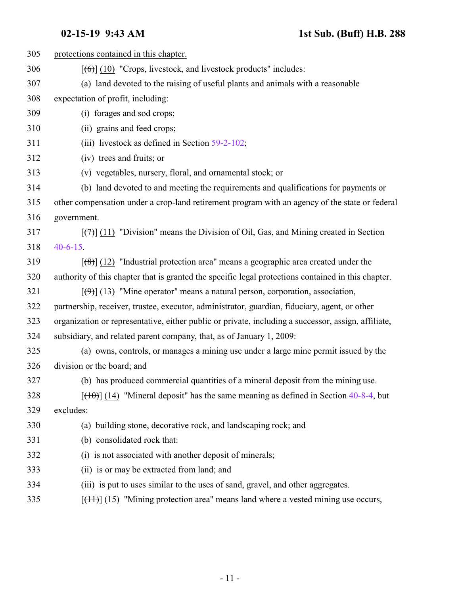| 305 | protections contained in this chapter.                                                              |
|-----|-----------------------------------------------------------------------------------------------------|
| 306 | $[66]$ (10) "Crops, livestock, and livestock products" includes:                                    |
| 307 | (a) land devoted to the raising of useful plants and animals with a reasonable                      |
| 308 | expectation of profit, including:                                                                   |
| 309 | (i) forages and sod crops;                                                                          |
| 310 | (ii) grains and feed crops;                                                                         |
| 311 | (iii) livestock as defined in Section $59-2-102$ ;                                                  |
| 312 | (iv) trees and fruits; or                                                                           |
| 313 | (v) vegetables, nursery, floral, and ornamental stock; or                                           |
| 314 | (b) land devoted to and meeting the requirements and qualifications for payments or                 |
| 315 | other compensation under a crop-land retirement program with an agency of the state or federal      |
| 316 | government.                                                                                         |
| 317 | $[\overline{(+)}]$ (11) "Division" means the Division of Oil, Gas, and Mining created in Section    |
| 318 | $40 - 6 - 15$ .                                                                                     |
| 319 | $[$ (48)] (12) "Industrial protection area" means a geographic area created under the               |
| 320 | authority of this chapter that is granted the specific legal protections contained in this chapter. |
| 321 | $[\langle 9 \rangle]$ (13) "Mine operator" means a natural person, corporation, association,        |
| 322 | partnership, receiver, trustee, executor, administrator, guardian, fiduciary, agent, or other       |
| 323 | organization or representative, either public or private, including a successor, assign, affiliate, |
| 324 | subsidiary, and related parent company, that, as of January 1, 2009:                                |
| 325 | (a) owns, controls, or manages a mining use under a large mine permit issued by the                 |
| 326 | division or the board; and                                                                          |
| 327 | (b) has produced commercial quantities of a mineral deposit from the mining use.                    |
| 328 | $[\text{(10)}]$ (14) "Mineral deposit" has the same meaning as defined in Section 40-8-4, but       |
| 329 | excludes:                                                                                           |
| 330 | (a) building stone, decorative rock, and landscaping rock; and                                      |
| 331 | (b) consolidated rock that:                                                                         |
| 332 | (i) is not associated with another deposit of minerals;                                             |
| 333 | (ii) is or may be extracted from land; and                                                          |
| 334 | (iii) is put to uses similar to the uses of sand, gravel, and other aggregates.                     |
| 335 | $[\frac{(11)}{(15)}]$ "Mining protection area" means land where a vested mining use occurs,         |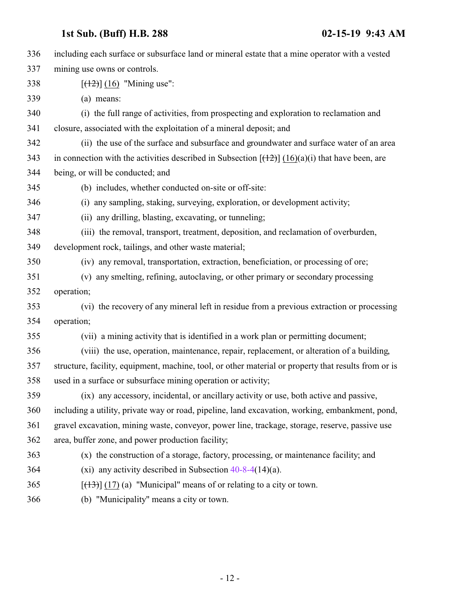| 336 | including each surface or subsurface land or mineral estate that a mine operator with a vested       |
|-----|------------------------------------------------------------------------------------------------------|
| 337 | mining use owns or controls.                                                                         |
| 338 | $[ (12) ] (16)$ "Mining use":                                                                        |
| 339 | (a) means:                                                                                           |
| 340 | (i) the full range of activities, from prospecting and exploration to reclamation and                |
| 341 | closure, associated with the exploitation of a mineral deposit; and                                  |
| 342 | (ii) the use of the surface and subsurface and groundwater and surface water of an area              |
| 343 | in connection with the activities described in Subsection $[(12)(16)(a)(i))$ that have been, are     |
| 344 | being, or will be conducted; and                                                                     |
| 345 | (b) includes, whether conducted on-site or off-site:                                                 |
| 346 | (i) any sampling, staking, surveying, exploration, or development activity;                          |
| 347 | (ii) any drilling, blasting, excavating, or tunneling;                                               |
| 348 | (iii) the removal, transport, treatment, deposition, and reclamation of overburden,                  |
| 349 | development rock, tailings, and other waste material;                                                |
| 350 | (iv) any removal, transportation, extraction, beneficiation, or processing of ore;                   |
| 351 | (v) any smelting, refining, autoclaving, or other primary or secondary processing                    |
| 352 | operation;                                                                                           |
| 353 | (vi) the recovery of any mineral left in residue from a previous extraction or processing            |
| 354 | operation;                                                                                           |
| 355 | (vii) a mining activity that is identified in a work plan or permitting document;                    |
| 356 | (viii) the use, operation, maintenance, repair, replacement, or alteration of a building,            |
| 357 | structure, facility, equipment, machine, tool, or other material or property that results from or is |
| 358 | used in a surface or subsurface mining operation or activity;                                        |
| 359 | (ix) any accessory, incidental, or ancillary activity or use, both active and passive,               |
| 360 | including a utility, private way or road, pipeline, land excavation, working, embankment, pond,      |
| 361 | gravel excavation, mining waste, conveyor, power line, trackage, storage, reserve, passive use       |
| 362 | area, buffer zone, and power production facility;                                                    |
| 363 | (x) the construction of a storage, factory, processing, or maintenance facility; and                 |
| 364 | (xi) any activity described in Subsection $40-8-4(14)(a)$ .                                          |
| 365 | $[\frac{13}{17}]$ (17) (a) "Municipal" means of or relating to a city or town.                       |
| 366 | (b) "Municipality" means a city or town.                                                             |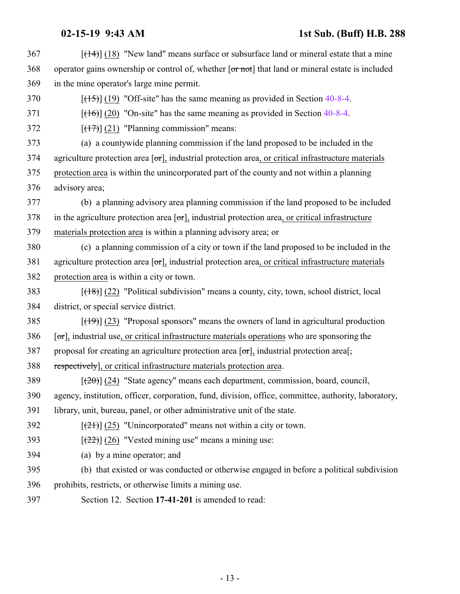<span id="page-12-0"></span>

| 367 | $[$ (14+)] (18) "New land" means surface or subsurface land or mineral estate that a mine                          |
|-----|--------------------------------------------------------------------------------------------------------------------|
| 368 | operator gains ownership or control of, whether [or not] that land or mineral estate is included                   |
| 369 | in the mine operator's large mine permit.                                                                          |
| 370 | $[(15)] (19)$ "Off-site" has the same meaning as provided in Section 40-8-4.                                       |
| 371 | $[ (16) ] (20)$ "On-site" has the same meaning as provided in Section 40-8-4.                                      |
| 372 | $[ (17) ] (21)$ "Planning commission" means:                                                                       |
| 373 | (a) a countywide planning commission if the land proposed to be included in the                                    |
| 374 | agriculture protection area $[\sigma r]$ , industrial protection area, or critical infrastructure materials        |
| 375 | protection area is within the unincorporated part of the county and not within a planning                          |
| 376 | advisory area;                                                                                                     |
| 377 | (b) a planning advisory area planning commission if the land proposed to be included                               |
| 378 | in the agriculture protection area $\lceil \sigma \rceil$ , industrial protection area, or critical infrastructure |
| 379 | materials protection area is within a planning advisory area; or                                                   |
| 380 | (c) a planning commission of a city or town if the land proposed to be included in the                             |
| 381 | agriculture protection area $[\sigma r]$ , industrial protection area, or critical infrastructure materials        |
| 382 | protection area is within a city or town.                                                                          |
| 383 | $[ (18) ]$ (22) "Political subdivision" means a county, city, town, school district, local                         |
| 384 | district, or special service district.                                                                             |
| 385 | $[\frac{(19)}{(23)}]$ "Proposal sponsors" means the owners of land in agricultural production                      |
| 386 | $[\sigma_{\tau}]$ , industrial use, or critical infrastructure materials operations who are sponsoring the         |
| 387 | proposal for creating an agriculture protection area $[\sigma r]$ , industrial protection area[,                   |
| 388 | respectively], or critical infrastructure materials protection area.                                               |
| 389 | $[\frac{1}{20}]$ (24) "State agency" means each department, commission, board, council,                            |
| 390 | agency, institution, officer, corporation, fund, division, office, committee, authority, laboratory,               |
| 391 | library, unit, bureau, panel, or other administrative unit of the state.                                           |
| 392 | $[\frac{(21)}{(25)}]$ (25) "Unincorporated" means not within a city or town.                                       |
| 393 | $[222]$ (26) "Vested mining use" means a mining use:                                                               |
| 394 | (a) by a mine operator; and                                                                                        |
| 395 | (b) that existed or was conducted or otherwise engaged in before a political subdivision                           |
| 396 | prohibits, restricts, or otherwise limits a mining use.                                                            |
| 397 | Section 12. Section 17-41-201 is amended to read:                                                                  |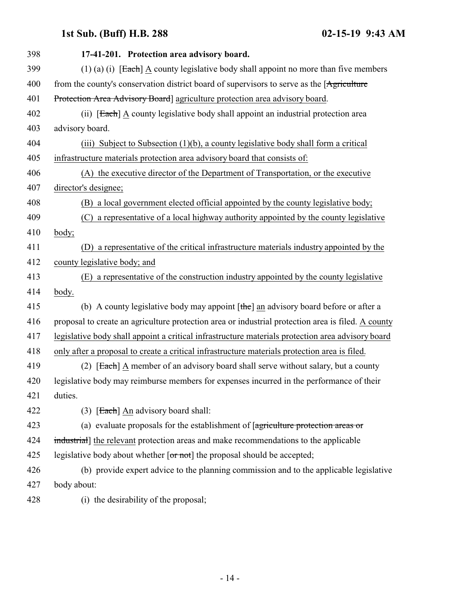| 398 | 17-41-201. Protection area advisory board.                                                         |
|-----|----------------------------------------------------------------------------------------------------|
| 399 | $(1)$ (a) (i) [Each] A county legislative body shall appoint no more than five members             |
| 400 | from the county's conservation district board of supervisors to serve as the [Agriculture]         |
| 401 | Protection Area Advisory Board] agriculture protection area advisory board.                        |
| 402 | (ii) [Each] A county legislative body shall appoint an industrial protection area                  |
| 403 | advisory board.                                                                                    |
| 404 | (iii) Subject to Subsection $(1)(b)$ , a county legislative body shall form a critical             |
| 405 | infrastructure materials protection area advisory board that consists of:                          |
| 406 | (A) the executive director of the Department of Transportation, or the executive                   |
| 407 | director's designee;                                                                               |
| 408 | (B) a local government elected official appointed by the county legislative body;                  |
| 409 | (C) a representative of a local highway authority appointed by the county legislative              |
| 410 | body;                                                                                              |
| 411 | a representative of the critical infrastructure materials industry appointed by the                |
| 412 | county legislative body; and                                                                       |
| 413 | a representative of the construction industry appointed by the county legislative<br>(E)           |
| 414 | body.                                                                                              |
| 415 | (b) A county legislative body may appoint $[\theta]$ an advisory board before or after a           |
| 416 | proposal to create an agriculture protection area or industrial protection area is filed. A county |
| 417 | legislative body shall appoint a critical infrastructure materials protection area advisory board  |
| 418 | only after a proposal to create a critical infrastructure materials protection area is filed.      |
| 419 | (2) [Each] A member of an advisory board shall serve without salary, but a county                  |
| 420 | legislative body may reimburse members for expenses incurred in the performance of their           |
| 421 | duties.                                                                                            |
| 422 | $(3)$ [Each] An advisory board shall:                                                              |
| 423 | (a) evaluate proposals for the establishment of $[$ agriculture protection areas or                |
| 424 | industrial] the relevant protection areas and make recommendations to the applicable               |
| 425 | legislative body about whether $\lceil \text{or not} \rceil$ the proposal should be accepted;      |
| 426 | (b) provide expert advice to the planning commission and to the applicable legislative             |
| 427 | body about:                                                                                        |
| 428 | (i) the desirability of the proposal;                                                              |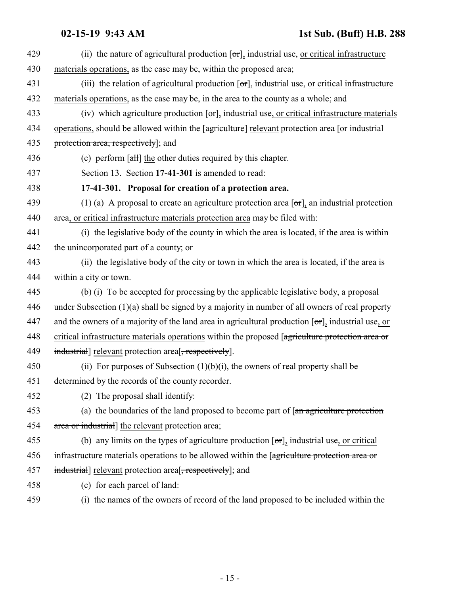<span id="page-14-0"></span>

| 429 | (ii) the nature of agricultural production $[\sigma r]$ , industrial use, or critical infrastructure       |
|-----|------------------------------------------------------------------------------------------------------------|
| 430 | materials operations, as the case may be, within the proposed area;                                        |
| 431 | (iii) the relation of agricultural production $[\sigma \tau]$ , industrial use, or critical infrastructure |
| 432 | materials operations, as the case may be, in the area to the county as a whole; and                        |
| 433 | (iv) which agriculture production $[\sigma r]$ , industrial use, or critical infrastructure materials      |
| 434 | operations, should be allowed within the [agriculture] relevant protection area [or industrial             |
| 435 | protection area, respectively]; and                                                                        |
| 436 | (c) perform $\lceil \frac{1}{2} \rceil$ the other duties required by this chapter.                         |
| 437 | Section 13. Section 17-41-301 is amended to read:                                                          |
| 438 | 17-41-301. Proposal for creation of a protection area.                                                     |
| 439 | (1) (a) A proposal to create an agriculture protection area $[\sigma r]$ , an industrial protection        |
| 440 | area, or critical infrastructure materials protection area may be filed with:                              |
| 441 | (i) the legislative body of the county in which the area is located, if the area is within                 |
| 442 | the unincorporated part of a county; or                                                                    |
| 443 | (ii) the legislative body of the city or town in which the area is located, if the area is                 |
| 444 | within a city or town.                                                                                     |
| 445 | (b) (i) To be accepted for processing by the applicable legislative body, a proposal                       |
| 446 | under Subsection $(1)(a)$ shall be signed by a majority in number of all owners of real property           |
| 447 | and the owners of a majority of the land area in agricultural production $[\sigma r]$ , industrial use, or |
| 448 | critical infrastructure materials operations within the proposed [agriculture protection area or           |
| 449 | industrial] relevant protection area <sup>[</sup> , respectively].                                         |
| 450 | (ii) For purposes of Subsection $(1)(b)(i)$ , the owners of real property shall be                         |
| 451 | determined by the records of the county recorder.                                                          |
| 452 | (2) The proposal shall identify:                                                                           |
| 453 | (a) the boundaries of the land proposed to become part of $\left[$ <del>an agriculture protection</del>    |
| 454 | area or industrial] the relevant protection area;                                                          |
| 455 | (b) any limits on the types of agriculture production $[\sigma\tau]$ , industrial use, or critical         |
| 456 | infrastructure materials operations to be allowed within the [agriculture protection area or               |
| 457 | industrial] relevant protection area <sup>[-</sup> , respectively]; and                                    |
| 458 | (c) for each parcel of land:                                                                               |
| 459 | (i) the names of the owners of record of the land proposed to be included within the                       |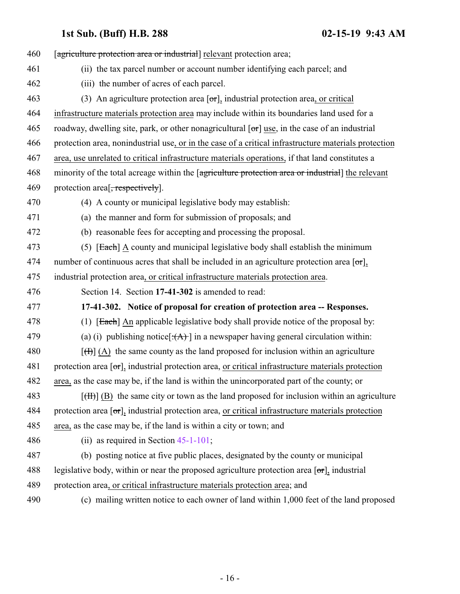<span id="page-15-0"></span>

| 460 | [agriculture protection area or industrial] relevant protection area;                                                      |
|-----|----------------------------------------------------------------------------------------------------------------------------|
| 461 | (ii) the tax parcel number or account number identifying each parcel; and                                                  |
| 462 | (iii) the number of acres of each parcel.                                                                                  |
| 463 | (3) An agriculture protection area $[\sigma r]$ , industrial protection area, or critical                                  |
| 464 | infrastructure materials protection area may include within its boundaries land used for a                                 |
| 465 | roadway, dwelling site, park, or other nonagricultural $[\sigma\tau]$ use, in the case of an industrial                    |
| 466 | protection area, nonindustrial use, or in the case of a critical infrastructure materials protection                       |
| 467 | area, use unrelated to critical infrastructure materials operations, if that land constitutes a                            |
| 468 | minority of the total acreage within the [agriculture protection area or industrial] the relevant                          |
| 469 | protection area <sup>[, respectively].</sup>                                                                               |
| 470 | (4) A county or municipal legislative body may establish:                                                                  |
| 471 | (a) the manner and form for submission of proposals; and                                                                   |
| 472 | (b) reasonable fees for accepting and processing the proposal.                                                             |
| 473 | $(5)$ [Each] A county and municipal legislative body shall establish the minimum                                           |
| 474 | number of continuous acres that shall be included in an agriculture protection area $[\sigma r]$ ,                         |
| 475 | industrial protection area, or critical infrastructure materials protection area.                                          |
| 476 | Section 14. Section 17-41-302 is amended to read:                                                                          |
| 477 | 17-41-302. Notice of proposal for creation of protection area -- Responses.                                                |
| 478 | (1) $[Each]$ An applicable legislative body shall provide notice of the proposal by:                                       |
| 479 | (a) (i) publishing notice $[\cdot(A)]$ in a newspaper having general circulation within:                                   |
| 480 | $[\text{H}](A)$ the same county as the land proposed for inclusion within an agriculture                                   |
| 481 | protection area $[\sigma_{\text{r}}]$ , industrial protection area, <u>or critical infrastructure</u> materials protection |
| 482 | area, as the case may be, if the land is within the unincorporated part of the county; or                                  |
| 483 | $[\text{H}\text{H}]$ (B) the same city or town as the land proposed for inclusion within an agriculture                    |
| 484 | protection area $[\sigma_{\tau}]$ , industrial protection area, or critical infrastructure materials protection            |
| 485 | area, as the case may be, if the land is within a city or town; and                                                        |
| 486 | (ii) as required in Section $45-1-101$ ;                                                                                   |
| 487 | (b) posting notice at five public places, designated by the county or municipal                                            |
| 488 | legislative body, within or near the proposed agriculture protection area $[\sigma_{\tau}]$ , industrial                   |
| 489 | protection area, or critical infrastructure materials protection area; and                                                 |
| 490 | (c) mailing written notice to each owner of land within 1,000 feet of the land proposed                                    |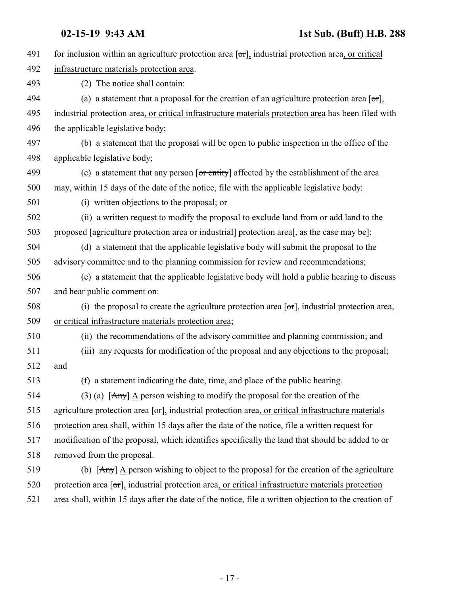| 491 | for inclusion within an agriculture protection area $[\sigma r]_2$ industrial protection area, or critical                             |
|-----|----------------------------------------------------------------------------------------------------------------------------------------|
| 492 | infrastructure materials protection area.                                                                                              |
| 493 | (2) The notice shall contain:                                                                                                          |
| 494 | (a) a statement that a proposal for the creation of an agriculture protection area $\lceil \sigma \rceil$ ,                            |
| 495 | industrial protection area, or critical infrastructure materials protection area has been filed with                                   |
| 496 | the applicable legislative body;                                                                                                       |
| 497 | (b) a statement that the proposal will be open to public inspection in the office of the                                               |
| 498 | applicable legislative body;                                                                                                           |
| 499 | (c) a statement that any person $\overline{or$ entity] affected by the establishment of the area                                       |
| 500 | may, within 15 days of the date of the notice, file with the applicable legislative body:                                              |
| 501 | (i) written objections to the proposal; or                                                                                             |
| 502 | (ii) a written request to modify the proposal to exclude land from or add land to the                                                  |
| 503 | proposed [agriculture protection area or industrial] protection area [, as the case may be];                                           |
| 504 | (d) a statement that the applicable legislative body will submit the proposal to the                                                   |
| 505 | advisory committee and to the planning commission for review and recommendations;                                                      |
| 506 | (e) a statement that the applicable legislative body will hold a public hearing to discuss                                             |
| 507 | and hear public comment on:                                                                                                            |
| 508 | (i) the proposal to create the agriculture protection area $[\sigma r]_2$ industrial protection area,                                  |
| 509 | or critical infrastructure materials protection area;                                                                                  |
| 510 | (ii) the recommendations of the advisory committee and planning commission; and                                                        |
| 511 | (iii) any requests for modification of the proposal and any objections to the proposal;                                                |
| 512 | and                                                                                                                                    |
| 513 | (f) a statement indicating the date, time, and place of the public hearing.                                                            |
| 514 | (3) (a) $\left[\frac{\text{Any}}{\text{Any}}\right]$ $\Delta$ person wishing to modify the proposal for the creation of the            |
| 515 | agriculture protection area $[\sigma r]$ , industrial protection area, or critical infrastructure materials                            |
| 516 | protection area shall, within 15 days after the date of the notice, file a written request for                                         |
| 517 | modification of the proposal, which identifies specifically the land that should be added to or                                        |
| 518 | removed from the proposal.                                                                                                             |
| 519 | (b) $\left[\frac{\text{Any}}{\text{Any}}\right]$ $\Delta$ person wishing to object to the proposal for the creation of the agriculture |
| 520 | protection area $[\sigma_{\tau}]$ , industrial protection area, or critical infrastructure materials protection                        |
| 521 | area shall, within 15 days after the date of the notice, file a written objection to the creation of                                   |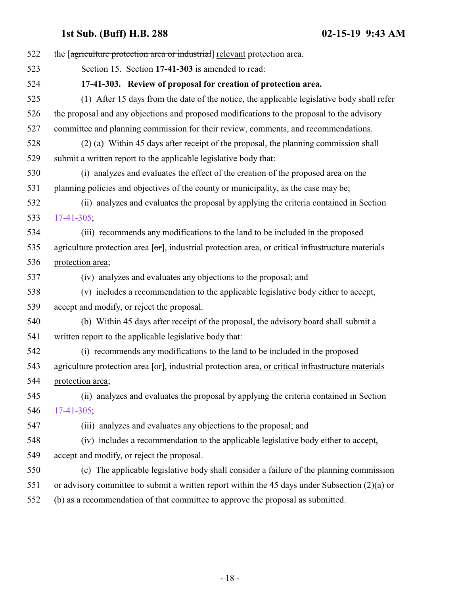<span id="page-17-0"></span>

| 522 | the [agriculture protection area or industrial] relevant protection area.                                                |
|-----|--------------------------------------------------------------------------------------------------------------------------|
| 523 | Section 15. Section 17-41-303 is amended to read:                                                                        |
| 524 | 17-41-303. Review of proposal for creation of protection area.                                                           |
| 525 | (1) After 15 days from the date of the notice, the applicable legislative body shall refer                               |
| 526 | the proposal and any objections and proposed modifications to the proposal to the advisory                               |
| 527 | committee and planning commission for their review, comments, and recommendations.                                       |
| 528 | (2) (a) Within 45 days after receipt of the proposal, the planning commission shall                                      |
| 529 | submit a written report to the applicable legislative body that:                                                         |
| 530 | (i) analyzes and evaluates the effect of the creation of the proposed area on the                                        |
| 531 | planning policies and objectives of the county or municipality, as the case may be;                                      |
| 532 | (ii) analyzes and evaluates the proposal by applying the criteria contained in Section                                   |
| 533 | $17-41-305$ ;                                                                                                            |
| 534 | (iii) recommends any modifications to the land to be included in the proposed                                            |
| 535 | agriculture protection area $\lceil \text{or} \rceil$ , industrial protection area, or critical infrastructure materials |
| 536 | protection area;                                                                                                         |
| 537 | (iv) analyzes and evaluates any objections to the proposal; and                                                          |
| 538 | (v) includes a recommendation to the applicable legislative body either to accept,                                       |
| 539 | accept and modify, or reject the proposal.                                                                               |
| 540 | (b) Within 45 days after receipt of the proposal, the advisory board shall submit a                                      |
| 541 | written report to the applicable legislative body that:                                                                  |
| 542 | (i) recommends any modifications to the land to be included in the proposed                                              |
| 543 | agriculture protection area $[\sigma r]$ , industrial protection area, or critical infrastructure materials              |
| 544 | protection area;                                                                                                         |
| 545 | (ii) analyzes and evaluates the proposal by applying the criteria contained in Section                                   |
| 546 | $17-41-305$ ;                                                                                                            |
| 547 | (iii) analyzes and evaluates any objections to the proposal; and                                                         |
| 548 | (iv) includes a recommendation to the applicable legislative body either to accept,                                      |
| 549 | accept and modify, or reject the proposal.                                                                               |
| 550 | (c) The applicable legislative body shall consider a failure of the planning commission                                  |
| 551 | or advisory committee to submit a written report within the 45 days under Subsection $(2)(a)$ or                         |
| 552 | (b) as a recommendation of that committee to approve the proposal as submitted.                                          |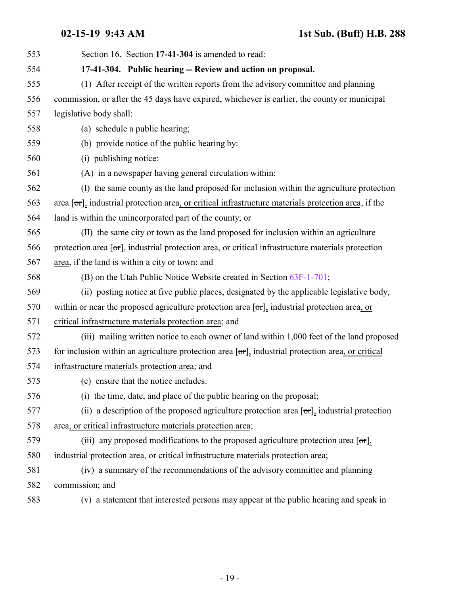<span id="page-18-0"></span>

| 553 | Section 16. Section 17-41-304 is amended to read:                                                              |
|-----|----------------------------------------------------------------------------------------------------------------|
| 554 | 17-41-304. Public hearing -- Review and action on proposal.                                                    |
| 555 | (1) After receipt of the written reports from the advisory committee and planning                              |
| 556 | commission, or after the 45 days have expired, whichever is earlier, the county or municipal                   |
| 557 | legislative body shall:                                                                                        |
| 558 | (a) schedule a public hearing;                                                                                 |
| 559 | (b) provide notice of the public hearing by:                                                                   |
| 560 | (i) publishing notice:                                                                                         |
| 561 | (A) in a newspaper having general circulation within:                                                          |
| 562 | (I) the same county as the land proposed for inclusion within the agriculture protection                       |
| 563 | area $[\sigma\tau]$ , industrial protection area, or critical infrastructure materials protection area, if the |
| 564 | land is within the unincorporated part of the county; or                                                       |
| 565 | (II) the same city or town as the land proposed for inclusion within an agriculture                            |
| 566 | protection area [or], industrial protection area, or critical infrastructure materials protection              |
| 567 | area, if the land is within a city or town; and                                                                |
| 568 | (B) on the Utah Public Notice Website created in Section 63F-1-701;                                            |
| 569 | (ii) posting notice at five public places, designated by the applicable legislative body,                      |
| 570 | within or near the proposed agriculture protection area $[\sigma r]$ , industrial protection area, or          |
| 571 | critical infrastructure materials protection area; and                                                         |
| 572 | (iii) mailing written notice to each owner of land within 1,000 feet of the land proposed                      |
| 573 | for inclusion within an agriculture protection area $[\sigma r]_2$ industrial protection area, or critical     |
| 574 | infrastructure materials protection area; and                                                                  |
| 575 | (c) ensure that the notice includes:                                                                           |
| 576 | (i) the time, date, and place of the public hearing on the proposal;                                           |
| 577 | (ii) a description of the proposed agriculture protection area $[\sigma r]$ , industrial protection            |
| 578 | area, or critical infrastructure materials protection area;                                                    |
| 579 | (iii) any proposed modifications to the proposed agriculture protection area $\sigma$ .                        |
| 580 | industrial protection area, or critical infrastructure materials protection area;                              |
| 581 | (iv) a summary of the recommendations of the advisory committee and planning                                   |
| 582 | commission; and                                                                                                |
| 583 | (v) a statement that interested persons may appear at the public hearing and speak in                          |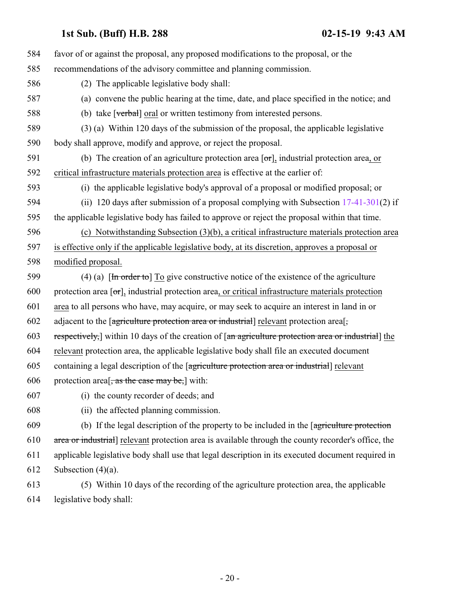| 584 | favor of or against the proposal, any proposed modifications to the proposal, or the                                                 |
|-----|--------------------------------------------------------------------------------------------------------------------------------------|
| 585 | recommendations of the advisory committee and planning commission.                                                                   |
| 586 | (2) The applicable legislative body shall:                                                                                           |
| 587 | (a) convene the public hearing at the time, date, and place specified in the notice; and                                             |
| 588 | (b) take [verbal] oral or written testimony from interested persons.                                                                 |
| 589 | (3) (a) Within 120 days of the submission of the proposal, the applicable legislative                                                |
| 590 | body shall approve, modify and approve, or reject the proposal.                                                                      |
| 591 | (b) The creation of an agriculture protection area $[\sigma\tau]$ , industrial protection area, or                                   |
| 592 | critical infrastructure materials protection area is effective at the earlier of:                                                    |
| 593 | (i) the applicable legislative body's approval of a proposal or modified proposal; or                                                |
| 594 | (ii) 120 days after submission of a proposal complying with Subsection $17-41-301(2)$ if                                             |
| 595 | the applicable legislative body has failed to approve or reject the proposal within that time.                                       |
| 596 | (c) Notwithstanding Subsection (3)(b), a critical infrastructure materials protection area                                           |
| 597 | is effective only if the applicable legislative body, at its discretion, approves a proposal or                                      |
| 598 | modified proposal.                                                                                                                   |
| 599 | (4) (a) $\left[\frac{\text{In order to}}{\text{In order to}}\right]$ To give constructive notice of the existence of the agriculture |
| 600 | protection area $[\sigma_{\tau}]$ , industrial protection area, or critical infrastructure materials protection                      |
| 601 | area to all persons who have, may acquire, or may seek to acquire an interest in land in or                                          |
| 602 | adjacent to the [agriculture protection area or industrial] relevant protection area[,                                               |
| 603 | respectively, within 10 days of the creation of [an agriculture protection area or industrial] the                                   |
| 604 | relevant protection area, the applicable legislative body shall file an executed document                                            |
| 605 | containing a legal description of the [agriculture protection area or industrial] relevant                                           |
| 606 | protection area <sup>[, as the case may be,]</sup> with:                                                                             |
| 607 | (i) the county recorder of deeds; and                                                                                                |
| 608 | (ii) the affected planning commission.                                                                                               |
| 609 | (b) If the legal description of the property to be included in the [agriculture protection                                           |
| 610 | area or industrial] relevant protection area is available through the county recorder's office, the                                  |
| 611 | applicable legislative body shall use that legal description in its executed document required in                                    |
| 612 | Subsection $(4)(a)$ .                                                                                                                |
| 613 | (5) Within 10 days of the recording of the agriculture protection area, the applicable                                               |
| 614 | legislative body shall:                                                                                                              |
|     |                                                                                                                                      |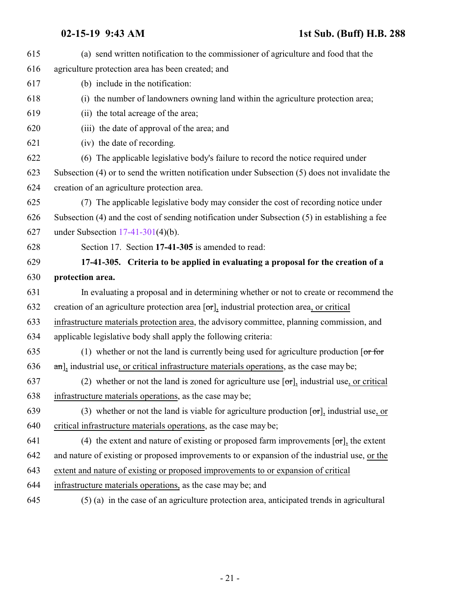<span id="page-20-0"></span>

| 615 | (a) send written notification to the commissioner of agriculture and food that the                                   |
|-----|----------------------------------------------------------------------------------------------------------------------|
| 616 | agriculture protection area has been created; and                                                                    |
| 617 | (b) include in the notification:                                                                                     |
| 618 | (i) the number of landowners owning land within the agriculture protection area;                                     |
| 619 | (ii) the total acreage of the area;                                                                                  |
| 620 | (iii) the date of approval of the area; and                                                                          |
| 621 | (iv) the date of recording.                                                                                          |
| 622 | (6) The applicable legislative body's failure to record the notice required under                                    |
| 623 | Subsection (4) or to send the written notification under Subsection (5) does not invalidate the                      |
| 624 | creation of an agriculture protection area.                                                                          |
| 625 | (7) The applicable legislative body may consider the cost of recording notice under                                  |
| 626 | Subsection (4) and the cost of sending notification under Subsection (5) in establishing a fee                       |
| 627 | under Subsection $17-41-301(4)(b)$ .                                                                                 |
| 628 | Section 17. Section 17-41-305 is amended to read:                                                                    |
| 629 | 17-41-305. Criteria to be applied in evaluating a proposal for the creation of a                                     |
| 630 | protection area.                                                                                                     |
| 631 | In evaluating a proposal and in determining whether or not to create or recommend the                                |
| 632 | creation of an agriculture protection area $[\sigma r]$ , industrial protection area, or critical                    |
| 633 | infrastructure materials protection area, the advisory committee, planning commission, and                           |
| 634 | applicable legislative body shall apply the following criteria:                                                      |
| 635 | (1) whether or not the land is currently being used for agriculture production $\lceil \text{or} \text{ for} \rceil$ |
| 636 | $\pi$ ], industrial use, or critical infrastructure materials operations, as the case may be;                        |
| 637 | (2) whether or not the land is zoned for agriculture use $[\sigma r]_2$ industrial use, or critical                  |
| 638 | infrastructure materials operations, as the case may be;                                                             |
| 639 | (3) whether or not the land is viable for agriculture production $[\sigma r]$ , industrial use, or                   |
| 640 | critical infrastructure materials operations, as the case may be;                                                    |
| 641 | (4) the extent and nature of existing or proposed farm improvements $[\sigma r]$ , the extent                        |
| 642 | and nature of existing or proposed improvements to or expansion of the industrial use, or the                        |
| 643 | extent and nature of existing or proposed improvements to or expansion of critical                                   |
| 644 | infrastructure materials operations, as the case may be; and                                                         |
| 645 | (5) (a) in the case of an agriculture protection area, anticipated trends in agricultural                            |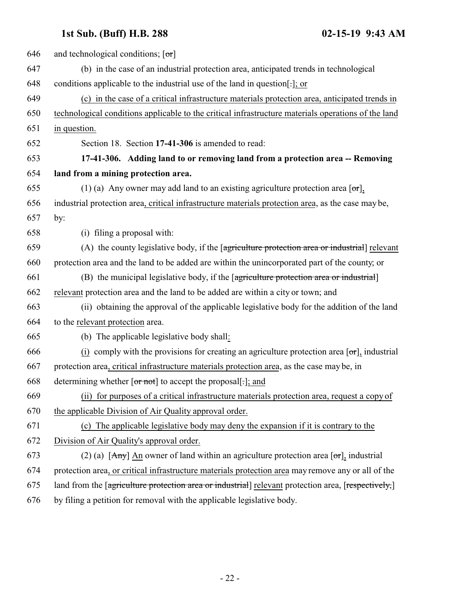<span id="page-21-0"></span>

| 646 | and technological conditions; $[\sigma r]$                                                             |
|-----|--------------------------------------------------------------------------------------------------------|
| 647 | (b) in the case of an industrial protection area, anticipated trends in technological                  |
| 648 | conditions applicable to the industrial use of the land in question[-]; or                             |
| 649 | (c) in the case of a critical infrastructure materials protection area, anticipated trends in          |
| 650 | technological conditions applicable to the critical infrastructure materials operations of the land    |
| 651 | in question.                                                                                           |
| 652 | Section 18. Section 17-41-306 is amended to read:                                                      |
| 653 | 17-41-306. Adding land to or removing land from a protection area -- Removing                          |
| 654 | land from a mining protection area.                                                                    |
| 655 | (1) (a) Any owner may add land to an existing agriculture protection area $\lceil \text{or} \rceil$ ,  |
| 656 | industrial protection area, critical infrastructure materials protection area, as the case may be,     |
| 657 | by:                                                                                                    |
| 658 | (i) filing a proposal with:                                                                            |
| 659 | (A) the county legislative body, if the [agriculture protection area or industrial] relevant           |
| 660 | protection area and the land to be added are within the unincorporated part of the county, or          |
| 661 | (B) the municipal legislative body, if the [agriculture protection area or industrial]                 |
| 662 | relevant protection area and the land to be added are within a city or town; and                       |
| 663 | (ii) obtaining the approval of the applicable legislative body for the addition of the land            |
| 664 | to the relevant protection area.                                                                       |
| 665 | (b) The applicable legislative body shall:                                                             |
| 666 | $(i)$ comply with the provisions for creating an agriculture protection area $[\sigma r]$ , industrial |
| 667 | protection area, critical infrastructure materials protection area, as the case may be, in             |
| 668 | determining whether $\lceil \text{or not} \rceil$ to accept the proposal[-]; and                       |
| 669 | (ii) for purposes of a critical infrastructure materials protection area, request a copy of            |
| 670 | the applicable Division of Air Quality approval order.                                                 |
| 671 | (c) The applicable legislative body may deny the expansion if it is contrary to the                    |
| 672 | Division of Air Quality's approval order.                                                              |
| 673 | (2) (a) $[Amy]$ An owner of land within an agriculture protection area $[\sigma r]$ , industrial       |
| 674 | protection area, or critical infrastructure materials protection area may remove any or all of the     |
| 675 | land from the [agriculture protection area or industrial] relevant protection area, [respectively,]    |
| 676 | by filing a petition for removal with the applicable legislative body.                                 |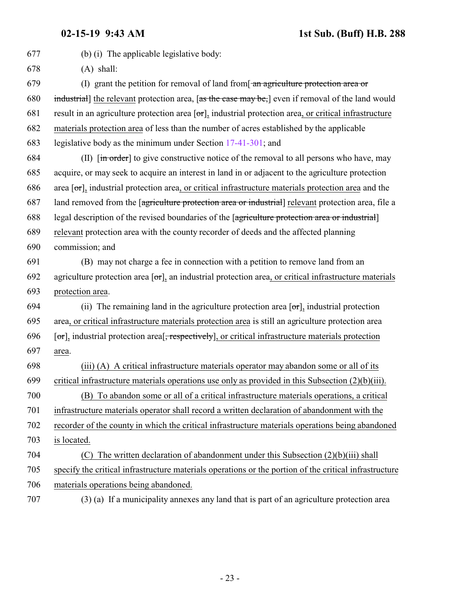| 677 | (b) (i) The applicable legislative body:                                                                                            |
|-----|-------------------------------------------------------------------------------------------------------------------------------------|
| 678 | $(A)$ shall:                                                                                                                        |
| 679 | (I) grant the petition for removal of land from $\frac{1}{2}$ and $\frac{1}{2}$ are protection area or                              |
| 680 | industrial the relevant protection area, [as the case may be,] even if removal of the land would                                    |
| 681 | result in an agriculture protection area $[\sigma r]$ , industrial protection area, or critical infrastructure                      |
| 682 | materials protection area of less than the number of acres established by the applicable                                            |
| 683 | legislative body as the minimum under Section 17-41-301; and                                                                        |
| 684 | (II) $\left[\frac{\text{in order}}{\text{in order}}\right]$ to give constructive notice of the removal to all persons who have, may |
| 685 | acquire, or may seek to acquire an interest in land in or adjacent to the agriculture protection                                    |
| 686 | area $[\sigma_{\tau}]$ , industrial protection area, or critical infrastructure materials protection area and the                   |
| 687 | land removed from the <i>agriculture</i> protection area or industrial relevant protection area, file a                             |
| 688 | legal description of the revised boundaries of the [agriculture protection area or industrial]                                      |
| 689 | relevant protection area with the county recorder of deeds and the affected planning                                                |
| 690 | commission; and                                                                                                                     |
| 691 | (B) may not charge a fee in connection with a petition to remove land from an                                                       |
| 692 | agriculture protection area $[\sigma r]$ , an industrial protection area, or critical infrastructure materials                      |
| 693 | protection area.                                                                                                                    |
| 694 | (ii) The remaining land in the agriculture protection area $[\sigma r]$ , industrial protection                                     |
| 695 | area, or critical infrastructure materials protection area is still an agriculture protection area                                  |
| 696 | [or], industrial protection area <sup>[</sup> , respectively], or critical infrastructure materials protection                      |
| 697 | area.                                                                                                                               |
| 698 | (iii) (A) A critical infrastructure materials operator may abandon some or all of its                                               |
| 699 | critical infrastructure materials operations use only as provided in this Subsection $(2)(b)(iii)$ .                                |
| 700 | (B) To abandon some or all of a critical infrastructure materials operations, a critical                                            |
| 701 | infrastructure materials operator shall record a written declaration of abandonment with the                                        |
| 702 | recorder of the county in which the critical infrastructure materials operations being abandoned                                    |
| 703 | is located.                                                                                                                         |
| 704 | The written declaration of abandonment under this Subsection $(2)(b)(iii)$ shall<br>(C)                                             |
| 705 | specify the critical infrastructure materials operations or the portion of the critical infrastructure                              |
| 706 | materials operations being abandoned.                                                                                               |
|     |                                                                                                                                     |

(3) (a) If a municipality annexes any land that is part of an agriculture protection area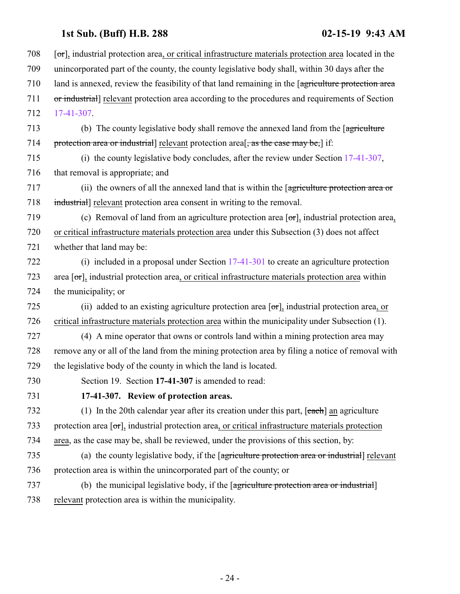<span id="page-23-0"></span>

| 708 | $[\sigma_{\tau}]$ , industrial protection area, or critical infrastructure materials protection area located in the |
|-----|---------------------------------------------------------------------------------------------------------------------|
| 709 | unincorporated part of the county, the county legislative body shall, within 30 days after the                      |
| 710 | land is annexed, review the feasibility of that land remaining in the [agriculture protection area                  |
| 711 | or industrial] relevant protection area according to the procedures and requirements of Section                     |
| 712 | 17-41-307.                                                                                                          |
| 713 | (b) The county legislative body shall remove the annexed land from the [agriculture]                                |
| 714 | protection area or industrial] relevant protection area[, as the case may be,] if:                                  |
| 715 | (i) the county legislative body concludes, after the review under Section $17-41-307$ ,                             |
| 716 | that removal is appropriate; and                                                                                    |
| 717 | (ii) the owners of all the annexed land that is within the [agriculture protection area or                          |
| 718 | industrial] relevant protection area consent in writing to the removal.                                             |
| 719 | (c) Removal of land from an agriculture protection area $[\sigma r]$ , industrial protection area,                  |
| 720 | or critical infrastructure materials protection area under this Subsection (3) does not affect                      |
| 721 | whether that land may be:                                                                                           |
| 722 | (i) included in a proposal under Section $17-41-301$ to create an agriculture protection                            |
| 723 | area $[\sigma\tau]$ , industrial protection area, or critical infrastructure materials protection area within       |
| 724 | the municipality; or                                                                                                |
| 725 | (ii) added to an existing agriculture protection area $[\sigma\tau]$ , industrial protection area, or               |
| 726 | critical infrastructure materials protection area within the municipality under Subsection (1).                     |
| 727 | (4) A mine operator that owns or controls land within a mining protection area may                                  |
| 728 | remove any or all of the land from the mining protection area by filing a notice of removal with                    |
| 729 | the legislative body of the county in which the land is located.                                                    |
| 730 | Section 19. Section 17-41-307 is amended to read:                                                                   |
| 731 | 17-41-307. Review of protection areas.                                                                              |
| 732 | (1) In the 20th calendar year after its creation under this part, $[each]$ an agriculture                           |
| 733 | protection area $[\sigma_{\tau}]$ , industrial protection area, or critical infrastructure materials protection     |
| 734 | area, as the case may be, shall be reviewed, under the provisions of this section, by:                              |
| 735 | (a) the county legislative body, if the [agriculture protection area or industrial] relevant                        |
| 736 | protection area is within the unincorporated part of the county; or                                                 |
| 737 | (b) the municipal legislative body, if the [agriculture protection area or industrial]                              |
| 738 | relevant protection area is within the municipality.                                                                |
|     |                                                                                                                     |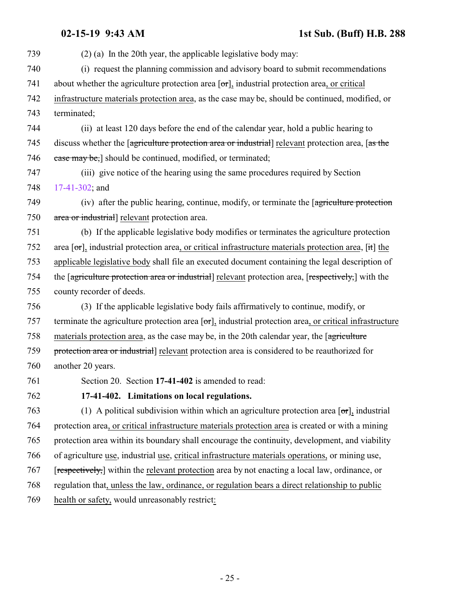<span id="page-24-0"></span>

| 739 | $(2)$ (a) In the 20th year, the applicable legislative body may:                                                          |
|-----|---------------------------------------------------------------------------------------------------------------------------|
| 740 | (i) request the planning commission and advisory board to submit recommendations                                          |
| 741 | about whether the agriculture protection area $[\sigma r]$ , industrial protection area, or critical                      |
| 742 | infrastructure materials protection area, as the case may be, should be continued, modified, or                           |
| 743 | terminated;                                                                                                               |
| 744 | (ii) at least 120 days before the end of the calendar year, hold a public hearing to                                      |
| 745 | discuss whether the [agriculture protection area or industrial] relevant protection area, [as the                         |
| 746 | ease may be,] should be continued, modified, or terminated;                                                               |
| 747 | (iii) give notice of the hearing using the same procedures required by Section                                            |
| 748 | 17-41-302; and                                                                                                            |
| 749 | (iv) after the public hearing, continue, modify, or terminate the [agriculture protection                                 |
| 750 | area or industrial] relevant protection area.                                                                             |
| 751 | (b) If the applicable legislative body modifies or terminates the agriculture protection                                  |
| 752 | area $[\sigma\tau]$ , industrial protection area, or critical infrastructure materials protection area, $[\text{it}]$ the |
| 753 | applicable legislative body shall file an executed document containing the legal description of                           |
| 754 | the [agriculture protection area or industrial] relevant protection area, [respectively,] with the                        |
| 755 | county recorder of deeds.                                                                                                 |
| 756 | (3) If the applicable legislative body fails affirmatively to continue, modify, or                                        |
| 757 | terminate the agriculture protection area $\sigma$ , industrial protection area, or critical infrastructure               |
| 758 | materials protection area, as the case may be, in the 20th calendar year, the [agriculture]                               |
| 759 | protection area or industrial] relevant protection area is considered to be reauthorized for                              |
| 760 | another 20 years.                                                                                                         |
| 761 | Section 20. Section 17-41-402 is amended to read:                                                                         |
| 762 | 17-41-402. Limitations on local regulations.                                                                              |
| 763 | (1) A political subdivision within which an agriculture protection area $[\sigma r]$ , industrial                         |
| 764 | protection area, or critical infrastructure materials protection area is created or with a mining                         |
| 765 | protection area within its boundary shall encourage the continuity, development, and viability                            |
| 766 | of agriculture use, industrial use, critical infrastructure materials operations, or mining use,                          |
| 767 | [respectively,] within the relevant protection area by not enacting a local law, ordinance, or                            |
| 768 | regulation that, unless the law, ordinance, or regulation bears a direct relationship to public                           |
| 769 | health or safety, would unreasonably restrict:                                                                            |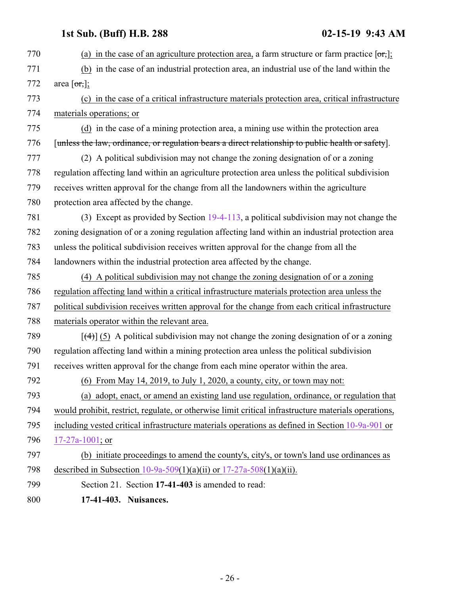<span id="page-25-0"></span>770 (a) in the case of an agriculture protection area, a farm structure or farm practice  $[**or**,]$ ; (b) in the case of an industrial protection area, an industrial use of the land within the 772 area  $\lceil \text{or,}\rceil$ ; (c) in the case of a critical infrastructure materials protection area, critical infrastructure materials operations; or (d) in the case of a mining protection area, a mining use within the protection area [unless the law, ordinance, or regulation bears a direct relationship to public health or safety]. (2) A political subdivision may not change the zoning designation of or a zoning regulation affecting land within an agriculture protection area unless the political subdivision receives written approval for the change from all the landowners within the agriculture protection area affected by the change. (3) Except as provided by Section [19-4-113](http://le.utah.gov/UtahCode/SectionLookup.jsp?section=19-4-113&session=2019GS), a political subdivision may not change the zoning designation of or a zoning regulation affecting land within an industrial protection area unless the political subdivision receives written approval for the change from all the landowners within the industrial protection area affected by the change. (4) A political subdivision may not change the zoning designation of or a zoning regulation affecting land within a critical infrastructure materials protection area unless the political subdivision receives written approval for the change from each critical infrastructure materials operator within the relevant area.  $\left[\frac{(4)}{(5)} \right]$  (5) A political subdivision may not change the zoning designation of or a zoning regulation affecting land within a mining protection area unless the political subdivision receives written approval for the change from each mine operator within the area. (6) From May 14, 2019, to July 1, 2020, a county, city, or town may not: (a) adopt, enact, or amend an existing land use regulation, ordinance, or regulation that would prohibit, restrict, regulate, or otherwise limit critical infrastructure materials operations, including vested critical infrastructure materials operations as defined in Section [10-9a-901](#page-2-0) or [17-27a-1001](#page-5-0); or (b) initiate proceedings to amend the county's, city's, or town's land use ordinances as described in Subsection [10-9a-509](http://le.utah.gov/UtahCode/SectionLookup.jsp?section=10-9a-509&session=2019GS)(1)(a)(ii) or [17-27a-508](http://le.utah.gov/UtahCode/SectionLookup.jsp?section=17-27a-508&session=2019GS)(1)(a)(ii). Section 21. Section **17-41-403** is amended to read: **17-41-403. Nuisances.**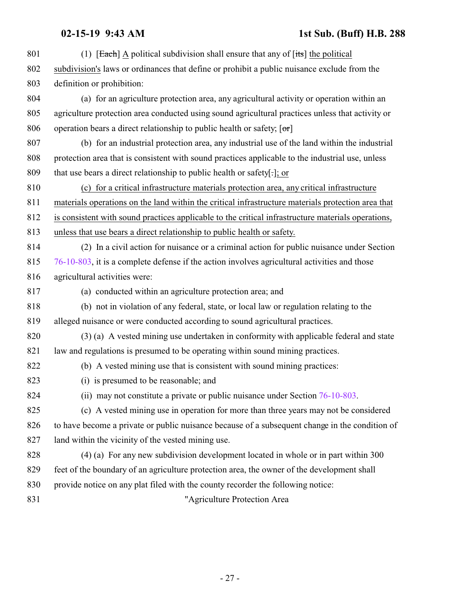801 (1)  $\sqrt{\frac{4}{10}}$  A political subdivision shall ensure that any of  $\sqrt{1 + 8}$  the political subdivision's laws or ordinances that define or prohibit a public nuisance exclude from the definition or prohibition: (a) for an agriculture protection area, any agricultural activity or operation within an agriculture protection area conducted using sound agricultural practices unless that activity or 806 operation bears a direct relationship to public health or safety;  $[\sigma r]$  (b) for an industrial protection area, any industrial use of the land within the industrial protection area that is consistent with sound practices applicable to the industrial use, unless that use bears a direct relationship to public health or safety[.]; or (c) for a critical infrastructure materials protection area, any critical infrastructure materials operations on the land within the critical infrastructure materials protection area that is consistent with sound practices applicable to the critical infrastructure materials operations, unless that use bears a direct relationship to public health or safety. (2) In a civil action for nuisance or a criminal action for public nuisance under Section [76-10-803](http://le.utah.gov/UtahCode/SectionLookup.jsp?section=76-10-803&session=2019GS), it is a complete defense if the action involves agricultural activities and those agricultural activities were: (a) conducted within an agriculture protection area; and (b) not in violation of any federal, state, or local law or regulation relating to the alleged nuisance or were conducted according to sound agricultural practices. (3) (a) A vested mining use undertaken in conformity with applicable federal and state law and regulations is presumed to be operating within sound mining practices. (b) A vested mining use that is consistent with sound mining practices: (i) is presumed to be reasonable; and (ii) may not constitute a private or public nuisance under Section [76-10-803](http://le.utah.gov/UtahCode/SectionLookup.jsp?section=76-10-803&session=2019GS). (c) A vested mining use in operation for more than three years may not be considered to have become a private or public nuisance because of a subsequent change in the condition of land within the vicinity of the vested mining use. (4) (a) For any new subdivision development located in whole or in part within 300 feet of the boundary of an agriculture protection area, the owner of the development shall provide notice on any plat filed with the county recorder the following notice: "Agriculture Protection Area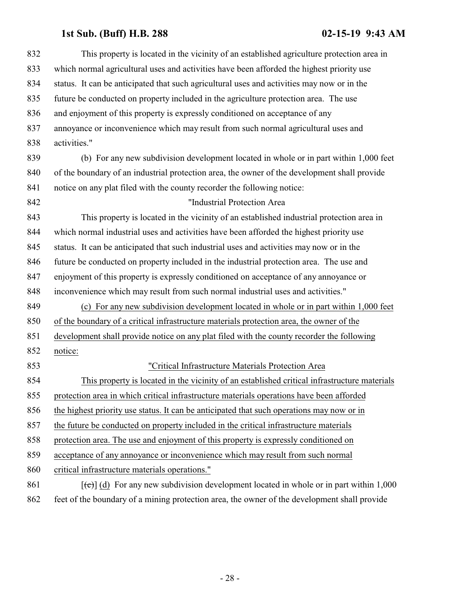| 832 | This property is located in the vicinity of an established agriculture protection area in               |
|-----|---------------------------------------------------------------------------------------------------------|
| 833 | which normal agricultural uses and activities have been afforded the highest priority use               |
| 834 | status. It can be anticipated that such agricultural uses and activities may now or in the              |
| 835 | future be conducted on property included in the agriculture protection area. The use                    |
| 836 | and enjoyment of this property is expressly conditioned on acceptance of any                            |
| 837 | annoyance or inconvenience which may result from such normal agricultural uses and                      |
| 838 | activities."                                                                                            |
| 839 | (b) For any new subdivision development located in whole or in part within 1,000 feet                   |
| 840 | of the boundary of an industrial protection area, the owner of the development shall provide            |
| 841 | notice on any plat filed with the county recorder the following notice:                                 |
| 842 | "Industrial Protection Area                                                                             |
| 843 | This property is located in the vicinity of an established industrial protection area in                |
| 844 | which normal industrial uses and activities have been afforded the highest priority use                 |
| 845 | status. It can be anticipated that such industrial uses and activities may now or in the                |
| 846 | future be conducted on property included in the industrial protection area. The use and                 |
| 847 | enjoyment of this property is expressly conditioned on acceptance of any annoyance or                   |
| 848 | inconvenience which may result from such normal industrial uses and activities."                        |
| 849 | (c) For any new subdivision development located in whole or in part within 1,000 feet                   |
| 850 | of the boundary of a critical infrastructure materials protection area, the owner of the                |
| 851 | development shall provide notice on any plat filed with the county recorder the following               |
| 852 | notice:                                                                                                 |
| 853 | "Critical Infrastructure Materials Protection Area                                                      |
| 854 | This property is located in the vicinity of an established critical infrastructure materials            |
| 855 | protection area in which critical infrastructure materials operations have been afforded                |
| 856 | the highest priority use status. It can be anticipated that such operations may now or in               |
| 857 | the future be conducted on property included in the critical infrastructure materials                   |
| 858 | protection area. The use and enjoyment of this property is expressly conditioned on                     |
| 859 | acceptance of any annoyance or inconvenience which may result from such normal                          |
| 860 | critical infrastructure materials operations."                                                          |
| 861 | $[\text{e}(\text{e})]$ (d) For any new subdivision development located in whole or in part within 1,000 |
| 862 | feet of the boundary of a mining protection area, the owner of the development shall provide            |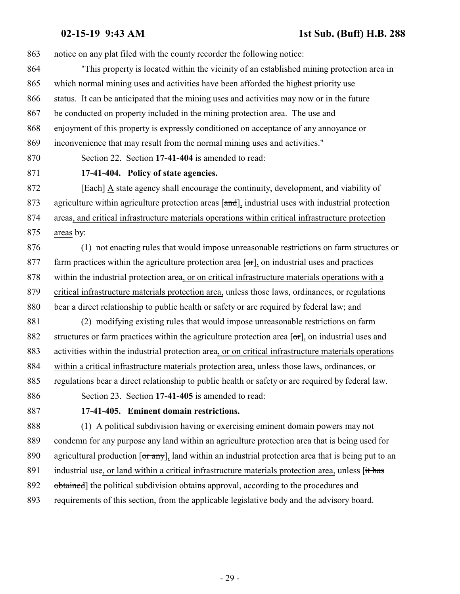notice on any plat filed with the county recorder the following notice:

 "This property is located within the vicinity of an established mining protection area in which normal mining uses and activities have been afforded the highest priority use status. It can be anticipated that the mining uses and activities may now or in the future be conducted on property included in the mining protection area. The use and enjoyment of this property is expressly conditioned on acceptance of any annoyance or inconvenience that may result from the normal mining uses and activities."

<span id="page-28-0"></span>Section 22. Section **17-41-404** is amended to read:

### **17-41-404. Policy of state agencies.**

**[Each]** A state agency shall encourage the continuity, development, and viability of 873 agriculture within agriculture protection areas [and], industrial uses with industrial protection

areas, and critical infrastructure materials operations within critical infrastructure protection

areas by:

 (1) not enacting rules that would impose unreasonable restrictions on farm structures or 877 farm practices within the agriculture protection area  $\sigma$ , on industrial uses and practices within the industrial protection area, or on critical infrastructure materials operations with a critical infrastructure materials protection area, unless those laws, ordinances, or regulations bear a direct relationship to public health or safety or are required by federal law; and (2) modifying existing rules that would impose unreasonable restrictions on farm

882 structures or farm practices within the agriculture protection area [or], on industrial uses and activities within the industrial protection area, or on critical infrastructure materials operations within a critical infrastructure materials protection area, unless those laws, ordinances, or regulations bear a direct relationship to public health or safety or are required by federal law.

<span id="page-28-1"></span>Section 23. Section **17-41-405** is amended to read:

### **17-41-405. Eminent domain restrictions.**

 (1) A political subdivision having or exercising eminent domain powers may not condemn for any purpose any land within an agriculture protection area that is being used for 890 agricultural production  $\overline{or\ any}$ , land within an industrial protection area that is being put to an 891 industrial use, or land within a critical infrastructure materials protection area, unless [it has 892 obtained] the political subdivision obtains approval, according to the procedures and requirements of this section, from the applicable legislative body and the advisory board.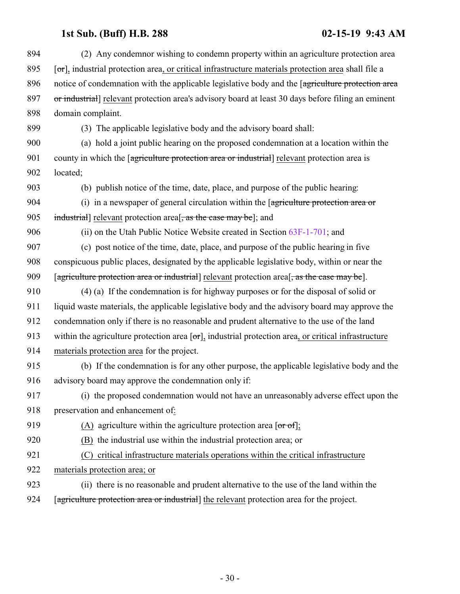| 894 | (2) Any condemnor wishing to condemn property within an agriculture protection area                               |
|-----|-------------------------------------------------------------------------------------------------------------------|
| 895 | [or], industrial protection area, or critical infrastructure materials protection area shall file a               |
| 896 | notice of condemnation with the applicable legislative body and the [agriculture protection area                  |
| 897 | or industrial] relevant protection area's advisory board at least 30 days before filing an eminent                |
| 898 | domain complaint.                                                                                                 |
| 899 | (3) The applicable legislative body and the advisory board shall:                                                 |
| 900 | (a) hold a joint public hearing on the proposed condemnation at a location within the                             |
| 901 | county in which the [agriculture protection area or industrial] relevant protection area is                       |
| 902 | located;                                                                                                          |
| 903 | (b) publish notice of the time, date, place, and purpose of the public hearing:                                   |
| 904 | (i) in a newspaper of general circulation within the $\sqrt{2}$ periculture protection area or                    |
| 905 | industrial] relevant protection area <sup>[</sup> , as the case may be]; and                                      |
| 906 | (ii) on the Utah Public Notice Website created in Section $63F-1-701$ ; and                                       |
| 907 | (c) post notice of the time, date, place, and purpose of the public hearing in five                               |
| 908 | conspicuous public places, designated by the applicable legislative body, within or near the                      |
| 909 | [agriculture protection area or industrial] relevant protection area <sup>[</sup> , as the case may be].          |
| 910 | $(4)$ (a) If the condemnation is for highway purposes or for the disposal of solid or                             |
| 911 | liquid waste materials, the applicable legislative body and the advisory board may approve the                    |
| 912 | condemnation only if there is no reasonable and prudent alternative to the use of the land                        |
| 913 | within the agriculture protection area $[\sigma_{\tau}]$ , industrial protection area, or critical infrastructure |
| 914 | materials protection area for the project.                                                                        |
| 915 | (b) If the condemnation is for any other purpose, the applicable legislative body and the                         |
| 916 | advisory board may approve the condemnation only if:                                                              |
| 917 | (i) the proposed condemnation would not have an unreasonably adverse effect upon the                              |
| 918 | preservation and enhancement of:                                                                                  |
| 919 | (A) agriculture within the agriculture protection area [ $or of$ ];                                               |
| 920 | (B) the industrial use within the industrial protection area; or                                                  |
| 921 | critical infrastructure materials operations within the critical infrastructure<br>(C)                            |
| 922 | materials protection area; or                                                                                     |
| 923 | (ii) there is no reasonable and prudent alternative to the use of the land within the                             |
| 924 | [agriculture protection area or industrial] the relevant protection area for the project.                         |
|     |                                                                                                                   |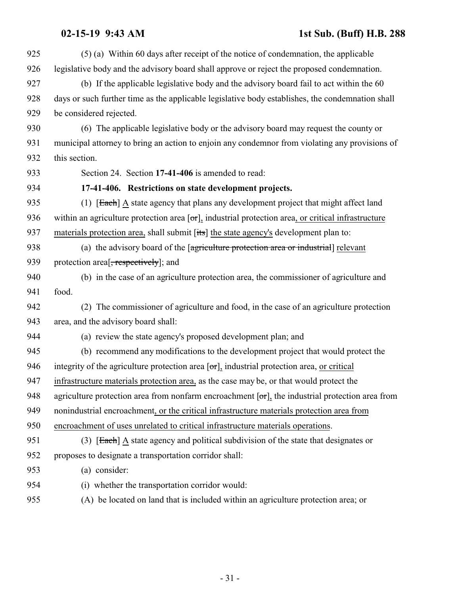<span id="page-30-0"></span> (5) (a) Within 60 days after receipt of the notice of condemnation, the applicable legislative body and the advisory board shall approve or reject the proposed condemnation. (b) If the applicable legislative body and the advisory board fail to act within the 60 days or such further time as the applicable legislative body establishes, the condemnation shall be considered rejected. (6) The applicable legislative body or the advisory board may request the county or municipal attorney to bring an action to enjoin any condemnor from violating any provisions of this section. Section 24. Section **17-41-406** is amended to read: **17-41-406. Restrictions on state development projects.** 935 (1) [Each] A state agency that plans any development project that might affect land 936 within an agriculture protection area  $[\sigma\tau]$ , industrial protection area, or critical infrastructure 937 materials protection area, shall submit [its] the state agency's development plan to: 938 (a) the advisory board of the [agriculture protection area or industrial] relevant 939 protection area<sup>[</sup>, respectively]; and (b) in the case of an agriculture protection area, the commissioner of agriculture and food. (2) The commissioner of agriculture and food, in the case of an agriculture protection area, and the advisory board shall: (a) review the state agency's proposed development plan; and (b) recommend any modifications to the development project that would protect the 946 integrity of the agriculture protection area  $\sigma$ , industrial protection area, <u>or critical</u> infrastructure materials protection area, as the case may be, or that would protect the 948 agriculture protection area from nonfarm encroachment  $[\sigma r]$ , the industrial protection area from nonindustrial encroachment, or the critical infrastructure materials protection area from encroachment of uses unrelated to critical infrastructure materials operations. 951 (3)  $\left[\frac{\text{Each}}{\text{A}}\right]$  a state agency and political subdivision of the state that designates or proposes to designate a transportation corridor shall: (a) consider: (i) whether the transportation corridor would: (A) be located on land that is included within an agriculture protection area; or